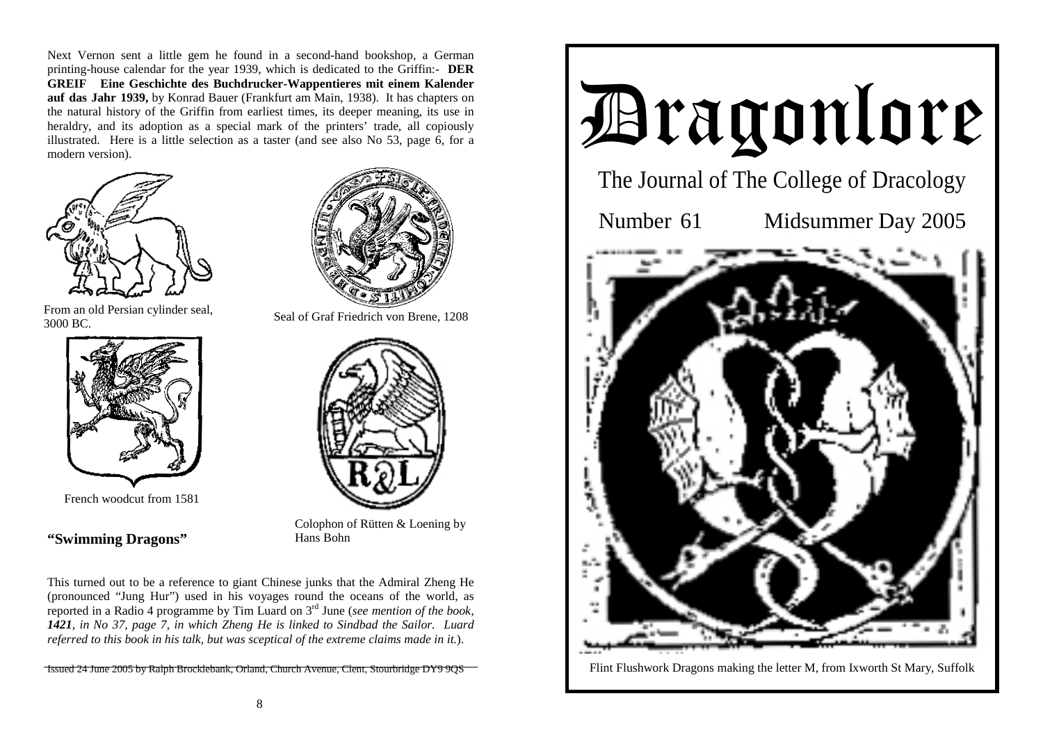Next Vernon sent a little gem he found in a second-hand bookshop, a German printing-house calendar for the year 1939, which is dedicated to the Griffin:- **DER GREIF Eine Geschichte des Buchdrucker-Wappentieres mit einem Kalender auf das Jahr 1939,** by Konrad Bauer (Frankfurt am Main, 1938). It has chapters on the natural history of the Griffin from earliest times, its deeper meaning, its use in heraldry, and its adoption as a special mark of the printers' trade, all copiously illustrated. Here is a little selection as a taster (and see also No 53, page 6, for a modern version).



From an old Persian cylinder seal, 3000 BC. Seal of Graf Friedrich von Brene, 1208



French woodcut from 1581

# **"Swimming Dragons"**



Colophon of Rütten & Loening by Hans Bohn

This turned out to be a reference to giant Chinese junks that the Admiral Zheng He (pronounced "Jung Hur") used in his voyages round the oceans of the world, as reported in a Radio 4 programme by Tim Luard on 3rd June (*see mention of the book, 1421, in No 37, page 7, in which Zheng He is linked to Sindbad the Sailor. Luard referred to this book in his talk, but was sceptical of the extreme claims made in it.*).

24 June 2005 by Ralph Brocklebank, Orland, Church Avenue, Clent, St



Flint Flushwork Dragons making the letter M, from Ixworth St Mary, Suffolk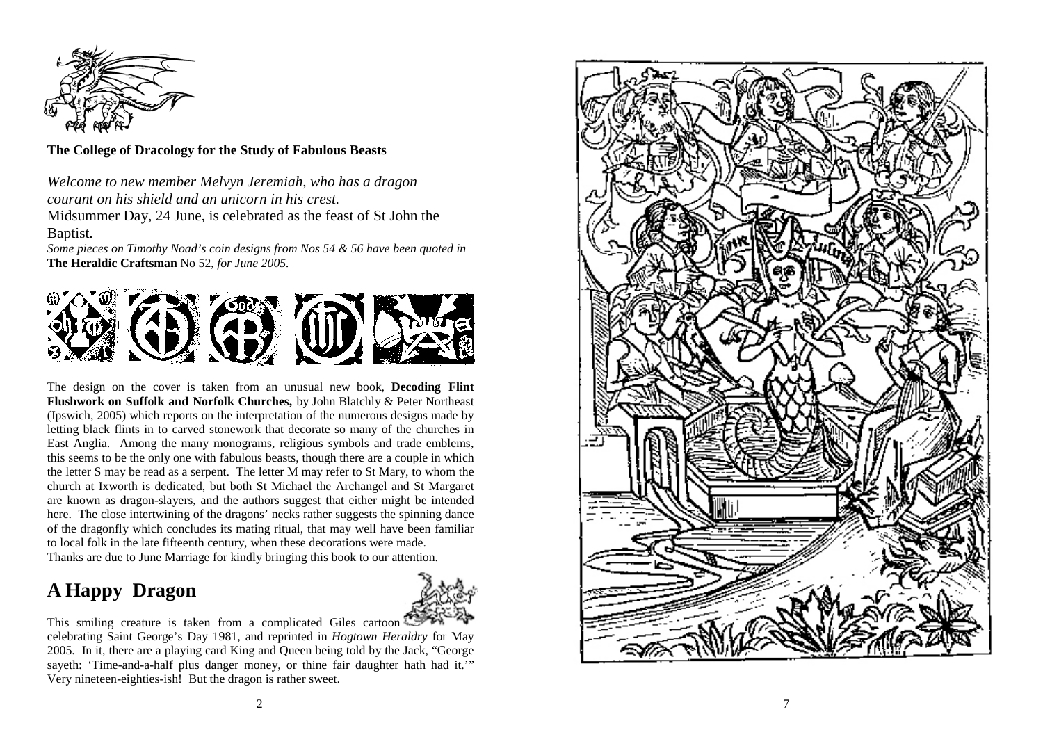

**The College of Dracology for the Study of Fabulous Beasts** 

*Welcome to new member Melvyn Jeremiah, who has a dragon courant on his shield and an unicorn in his crest.* 

Midsummer Day, 24 June, is celebrated as the feast of St John the Baptist.

*Some pieces on Timothy Noad's coin designs from Nos 54 & 56 have been quoted in*  **The Heraldic Craftsman** No 52, *for June 2005.* 



The design on the cover is taken from an unusual new book, **Decoding Flint Flushwork on Suffolk and Norfolk Churches,** by John Blatchly & Peter Northeast (Ipswich, 2005) which reports on the interpretation of the numerous designs made by letting black flints in to carved stonework that decorate so many of the churches in East Anglia. Among the many monograms, religious symbols and trade emblems, this seems to be the only one with fabulous beasts, though there are a couple in which the letter S may be read as a serpent. The letter M may refer to St Mary, to whom the church at Ixworth is dedicated, but both St Michael the Archangel and St Margaret are known as dragon-slayers, and the authors suggest that either might be intended here. The close intertwining of the dragons' necks rather suggests the spinning dance of the dragonfly which concludes its mating ritual, that may well have been familiar to local folk in the late fifteenth century, when these decorations were made.

Thanks are due to June Marriage for kindly bringing this book to our attention.

# **A Happy Dragon**



This smiling creature is taken from a complicated Giles cartoon celebrating Saint George's Day 1981, and reprinted in *Hogtown Heraldry* for May 2005. In it, there are a playing card King and Queen being told by the Jack, "George sayeth: 'Time-and-a-half plus danger money, or thine fair daughter hath had it.'" Very nineteen-eighties-ish! But the dragon is rather sweet.

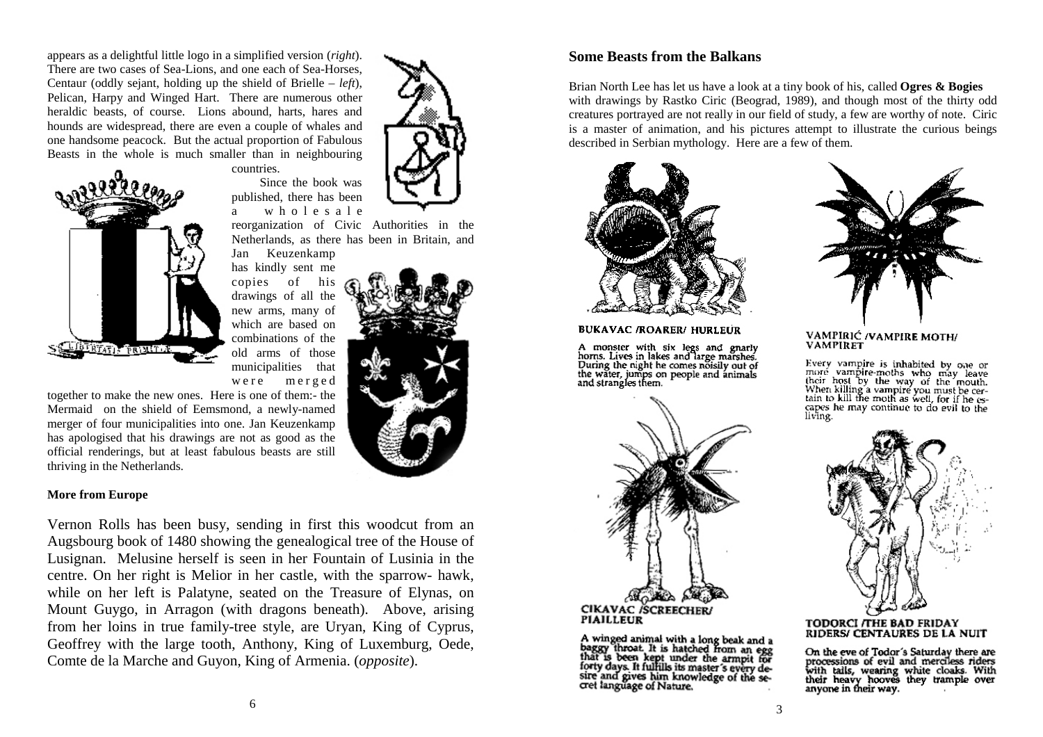appears as a delightful little logo in a simplified version (*right*). There are two cases of Sea-Lions, and one each of Sea-Horses, Centaur (oddly sejant, holding up the shield of Brielle – *left*), Pelican, Harpy and Winged Hart. There are numerous other heraldic beasts, of course. Lions abound, harts, hares and hounds are widespread, there are even a couple of whales and one handsome peacock. But the actual proportion of Fabulous Beasts in the whole is much smaller than in neighbouring countries.



 Since the book was published, there has been <sup>a</sup> <sup>w</sup> h <sup>o</sup> l <sup>e</sup> <sup>s</sup> <sup>a</sup> l <sup>e</sup>

reorganization of Civic Authorities in the Netherlands, as there has been in Britain, and

Jan Keuzenkamp has kindly sent me copies of his drawings of all the new arms, many of which are based on combinations of the old arms of those municipalities that were merged



together to make the new ones. Here is one of them:- the Mermaid on the shield of Eemsmond, a newly-named merger of four municipalities into one. Jan Keuzenkamp has apologised that his drawings are not as good as the official renderings, but at least fabulous beasts are still thriving in the Netherlands.

## **More from Europe**

Vernon Rolls has been busy, sending in first this woodcut from an Augsbourg book of 1480 showing the genealogical tree of the House of Lusignan. Melusine herself is seen in her Fountain of Lusinia in the centre. On her right is Melior in her castle, with the sparrow- hawk, while on her left is Palatyne, seated on the Treasure of Elynas, on Mount Guygo, in Arragon (with dragons beneath). Above, arising from her loins in true family-tree style, are Uryan, King of Cyprus, Geoffrey with the large tooth, Anthony, King of Luxemburg, Oede, Comte de la Marche and Guyon, King of Armenia. (*opposite*).

## **Some Beasts from the Balkans**

Brian North Lee has let us have a look at a tiny book of his, called **Ogres & Bogies**  with drawings by Rastko Ciric (Beograd, 1989), and though most of the thirty odd creatures portrayed are not really in our field of study, a few are worthy of note. Ciric is a master of animation, and his pictures attempt to illustrate the curious beings described in Serbian mythology. Here are a few of them.



**BUKAVAC /ROARER/ HURLEUR** 

A monster with six legs and gnarly<br>horns. Lives in lakes and large marshes.<br>During the night he comes noisily out of<br>the water, jumps on people and animals<br>and strangles them.



A winged animal with a long beak and a<br>baggy throat. It is hatched from an egg<br>that is been kept under the armpit for<br>forty days. It fulfills its master's every de-<br>sire and gives him knowledge of the se-<br>cret language of



#### VAMPIRIĆ /VAMPIRE MOTH/ **VAMPIRET**

Every vampire is inhabited by one or<br>more vampire-moths who may leave<br>their host by the way of the mouth.<br>When killing a vampire you must be cer-<br>tain to kill the moth as well, for if he is-<br>areas has may continue on the capes he may continue to do evil to the living.



#### **TODORCI /THE BAD FRIDAY** RIDERS/ CENTAURES DE LA NUIT

On the eve of Todor's Saturday there are processions of evil and mercless riders<br>with talls, wearing white cloaks. With their heavy hooves they trample over anyone in their way.